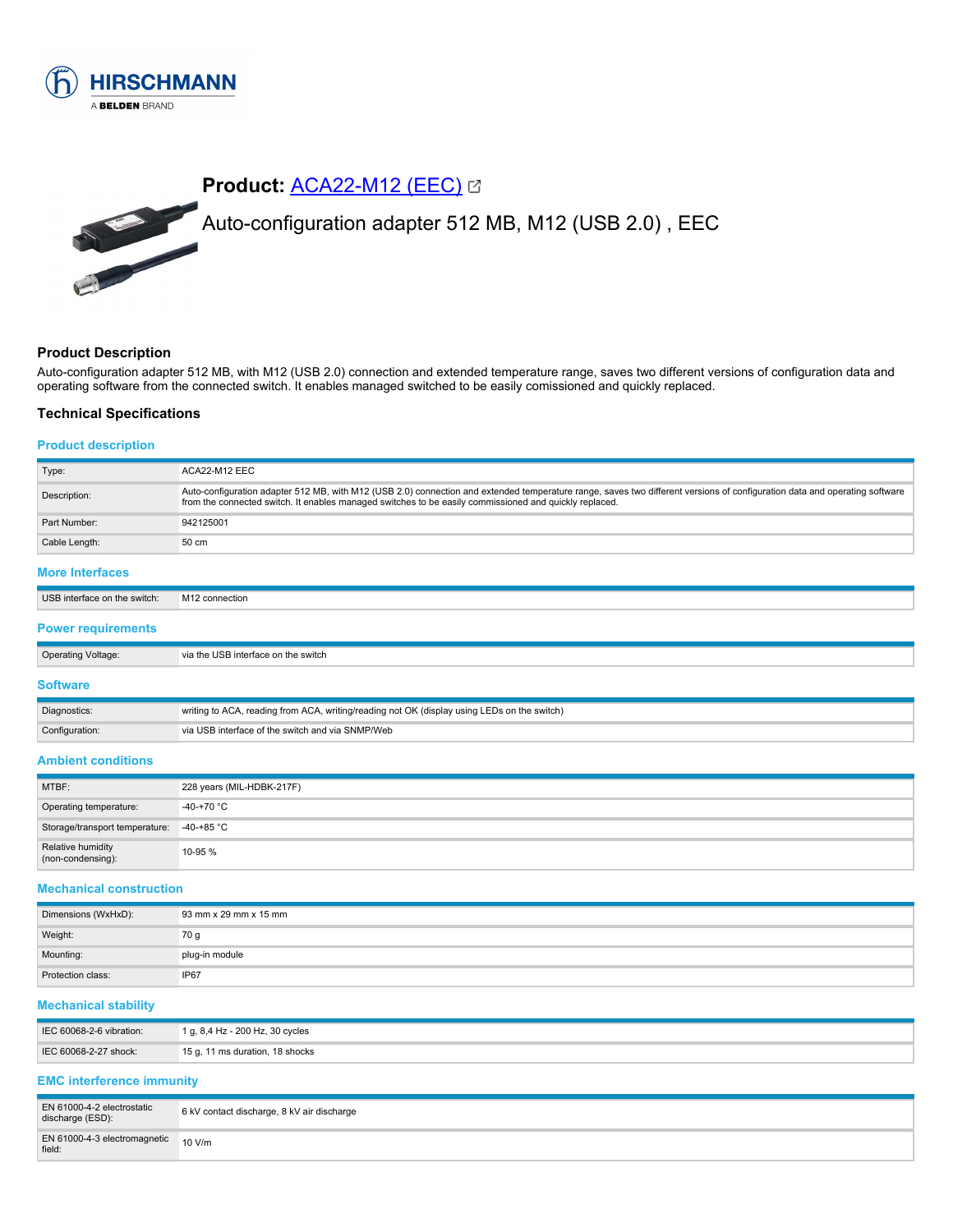

# **Product:** [ACA22-M12 \(EEC\)](https://catalog.belden.com/index.cfm?event=pd&p=PF_942125001&tab=downloads) Auto-configuration adapter 512 MB, M12 (USB 2.0) , EEC

# **Product Description**

Auto-configuration adapter 512 MB, with M12 (USB 2.0) connection and extended temperature range, saves two different versions of configuration data and operating software from the connected switch. It enables managed switched to be easily comissioned and quickly replaced.

### **Technical Specifications**

#### **Product description**

| Type:                        | ACA22-M12 EEC                                                                                                                                                                                                                                                                        |
|------------------------------|--------------------------------------------------------------------------------------------------------------------------------------------------------------------------------------------------------------------------------------------------------------------------------------|
| Description:                 | Auto-configuration adapter 512 MB, with M12 (USB 2.0) connection and extended temperature range, saves two different versions of configuration data and operating software<br>from the connected switch. It enables managed switches to be easily commissioned and quickly replaced. |
| Part Number:                 | 942125001                                                                                                                                                                                                                                                                            |
| Cable Length:                | 80 cm                                                                                                                                                                                                                                                                                |
| <b>More Interfaces</b>       |                                                                                                                                                                                                                                                                                      |
| USB interface on the switch: | M <sub>12</sub> connection                                                                                                                                                                                                                                                           |

#### **Power requirements**

| <b>Operating Voltage:</b> | via the USB interface on the switch                                                         |
|---------------------------|---------------------------------------------------------------------------------------------|
| Software                  |                                                                                             |
| Diagnostics:              | writing to ACA, reading from ACA, writing/reading not OK (display using LEDs on the switch) |

#### **Ambient conditions**

Configuration: via USB interface of the switch and via SNMP/Web

| MTBF:                                     | 228 years (MIL-HDBK-217F) |
|-------------------------------------------|---------------------------|
| Operating temperature:                    | $-40-+70 °C$              |
| Storage/transport temperature: -40-+85 °C |                           |
| Relative humidity<br>(non-condensing):    | 10-95 %                   |

#### **Mechanical construction**

| Dimensions (WxHxD): | 93 mm x 29 mm x 15 mm |
|---------------------|-----------------------|
| Weight:             | 70 g                  |
| Mounting:           | plug-in module        |
| Protection class:   | IP67                  |

#### **Mechanical stability**

| IEC 60068-2-6 vibration: | 1 g, 8,4 Hz - 200 Hz, 30 cycles |
|--------------------------|---------------------------------|
| IEC 60068-2-27 shock:    | 15 g, 11 ms duration, 18 shocks |

# **EMC interference immunity**

| EN 61000-4-2 electrostatic<br>discharge (ESD):          | 6 kV contact discharge, 8 kV air discharge |
|---------------------------------------------------------|--------------------------------------------|
| EN 61000-4-3 electromagnetic $10 \text{ V/m}$<br>field: |                                            |